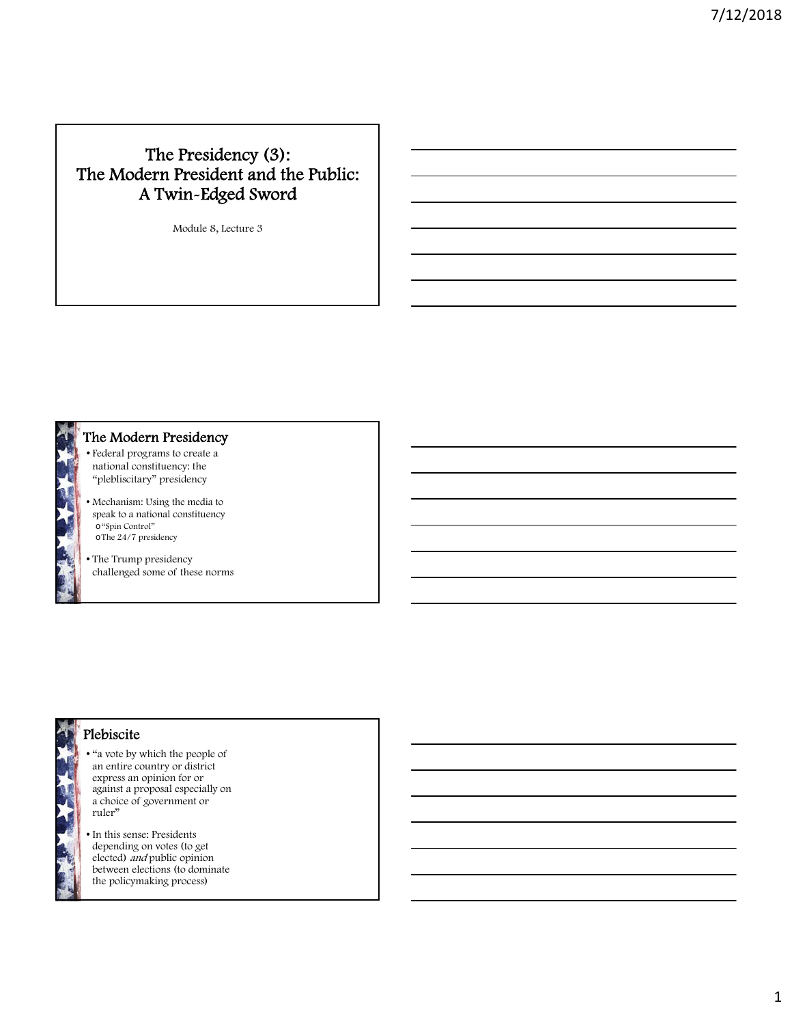# The Presidency (3): The Modern President and the Public: A Twin-Edged Sword

Module 8, Lecture 3



## The Modern Presidency

- Federal programs to create a national constituency: the "plebliscitary" presidency
- Mechanism: Using the media to speak to a national constituency o"Spin Control" oThe 24/7 presidency
- The Trump presidency challenged some of these norms

# Plebiscite

- "a vote by which the people of an entire country or district express an opinion for or against a proposal especially on a choice of government or ruler"
- In this sense: Presidents depending on votes (to get elected) and public opinion between elections (to dominate the policymaking process)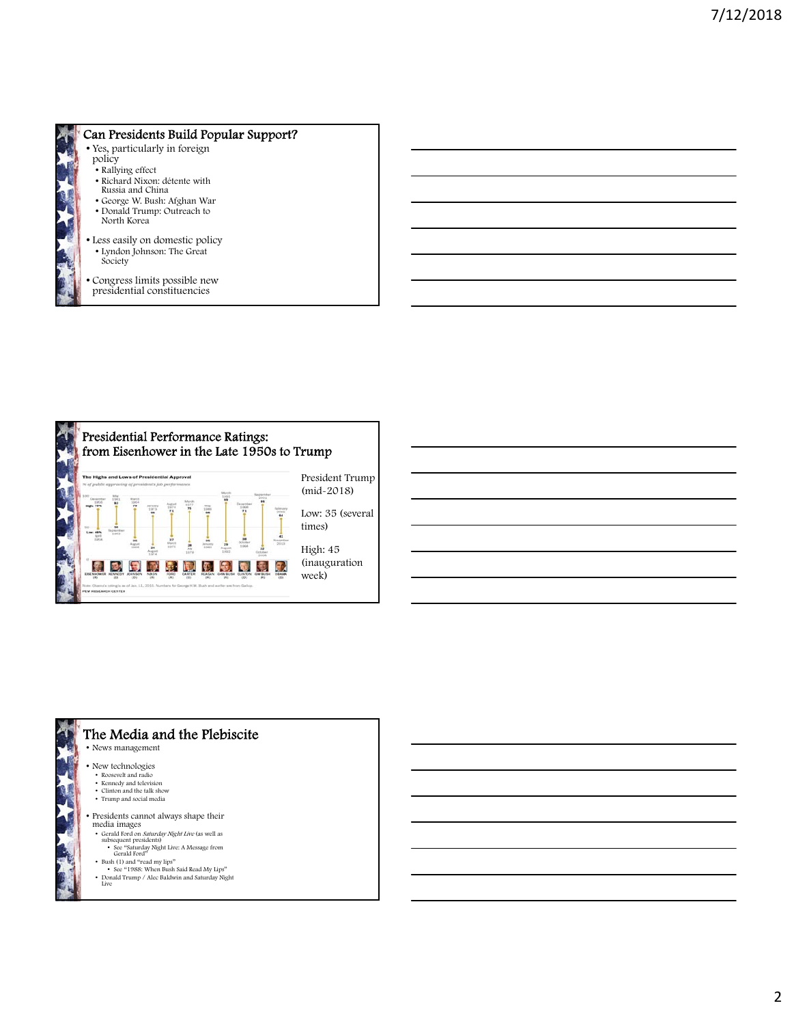

### Can Presidents Build Popular Support?

- Yes, particularly in foreign policy
	- Rallying effect
	- Richard Nixon: détente with Russia and China
	- George W. Bush: Afghan War
	- Donald Trump: Outreach to North Korea
- Less easily on domestic policy • Lyndon Johnson: The Great Society
- Congress limits possible new presidential constituencies



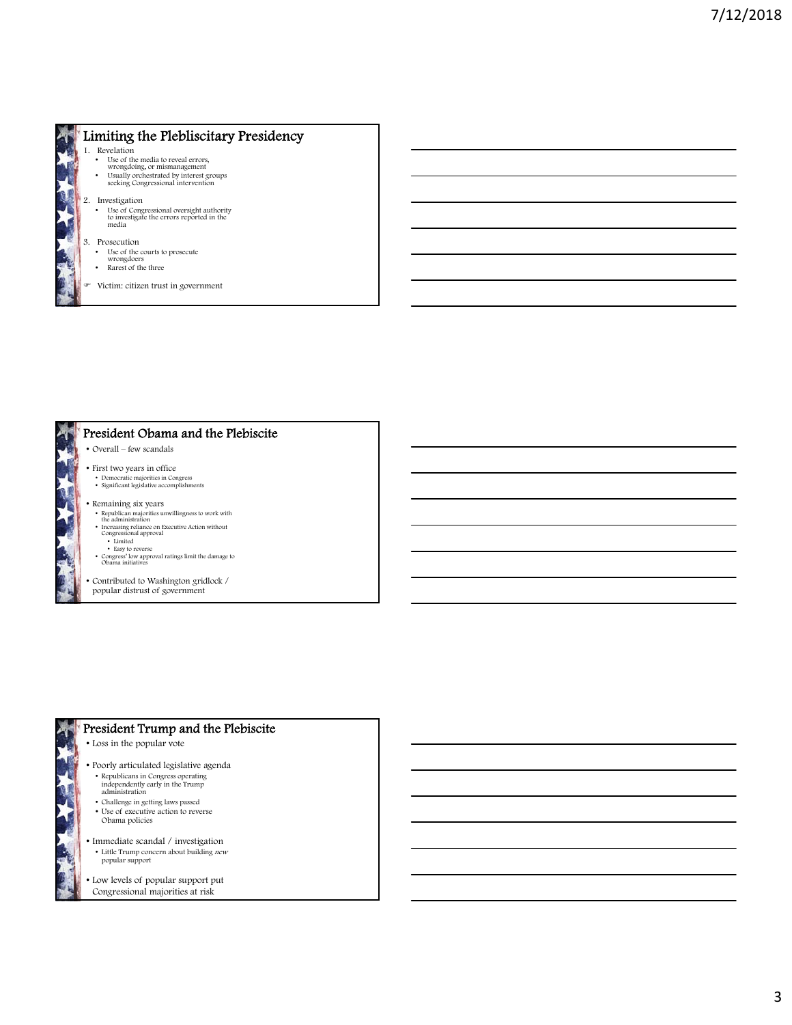

## Limiting the Plebliscitary Presidency

- 1. Revelation
	- Use of the media to reveal errors, wrongdoing, or mismanagement
	- Usually orchestrated by interest groups seeking Congressional intervention
- 2. Investigation

• Use of Congressional oversight authority to investigate the errors reported in the media

- 3. Prosecution
- 
- Use of the courts to prosecute wrongdoers Rarest of the three
- Victim: citizen trust in government

#### President Obama and the Plebiscite

- Overall few scandals
- First two years in office
- Democratic majorities in Congress Significant legislative accomplishments
- Remaining six years
	- Republican majorities unwillingness to work with the administration Increasing reliance on Executive Action without Congressional approval
	-
	-
	- Limited Easy to reverse Congress' low approval ratings limit the damage to Obama initiatives
	-
- Contributed to Washington gridlock / popular distrust of government

#### President Trump and the Plebiscite

- Loss in the popular vote
- Poorly articulated legislative agenda • Republicans in Congress operating independently early in the Trump administration
- Challenge in getting laws passed
- 
- Use of executive action to reverse Obama policies
- Immediate scandal / investigation • Little Trump concern about building *new* popular support
- Low levels of popular support put Congressional majorities at risk